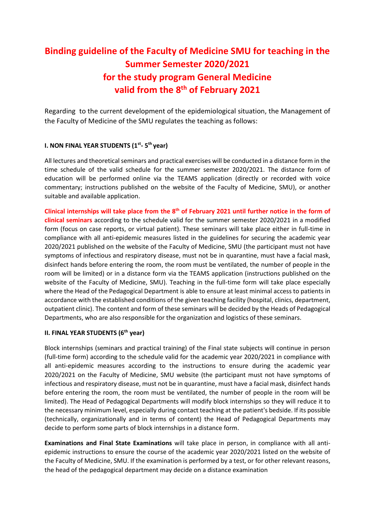## **Binding guideline of the Faculty of Medicine SMU for teaching in the Summer Semester 2020/2021 for the study program General Medicine valid from the 8th of February 2021**

Regarding to the current development of the epidemiological situation, the Management of the Faculty of Medicine of the SMU regulates the teaching as follows:

## **I. NON FINAL YEAR STUDENTS (1st - 5 th year)**

All lectures and theoretical seminars and practical exercises will be conducted in a distance form in the time schedule of the valid schedule for the summer semester 2020/2021. The distance form of education will be performed online via the TEAMS application (directly or recorded with voice commentary; instructions published on the website of the Faculty of Medicine, SMU), or another suitable and available application.

**Clinical internships will take place from the 8 th of February 2021 until further notice in the form of clinical seminars** according to the schedule valid for the summer semester 2020/2021 in a modified form (focus on case reports, or virtual patient). These seminars will take place either in full-time in compliance with all anti-epidemic measures listed in the guidelines for securing the academic year 2020/2021 published on the website of the Faculty of Medicine, SMU (the participant must not have symptoms of infectious and respiratory disease, must not be in quarantine, must have a facial mask, disinfect hands before entering the room, the room must be ventilated, the number of people in the room will be limited) or in a distance form via the TEAMS application (instructions published on the website of the Faculty of Medicine, SMU). Teaching in the full-time form will take place especially where the Head of the Pedagogical Department is able to ensure at least minimal access to patients in accordance with the established conditions of the given teaching facility (hospital, clinics, department, outpatient clinic). The content and form of these seminars will be decided by the Heads of Pedagogical Departments, who are also responsible for the organization and logistics of these seminars.

## **II. FINAL YEAR STUDENTS (6th year)**

Block internships (seminars and practical training) of the Final state subjects will continue in person (full-time form) according to the schedule valid for the academic year 2020/2021 in compliance with all anti-epidemic measures according to the instructions to ensure during the academic year 2020/2021 on the Faculty of Medicine, SMU website (the participant must not have symptoms of infectious and respiratory disease, must not be in quarantine, must have a facial mask, disinfect hands before entering the room, the room must be ventilated, the number of people in the room will be limited). The Head of Pedagogical Departments will modify block internships so they will reduce it to the necessary minimum level, especially during contact teaching at the patient's bedside. If its possible (technically, organizationally and in terms of content) the Head of Pedagogical Departments may decide to perform some parts of block internships in a distance form.

**Examinations and Final State Examinations** will take place in person, in compliance with all antiepidemic instructions to ensure the course of the academic year 2020/2021 listed on the website of the Faculty of Medicine, SMU. If the examination is performed by a test, or for other relevant reasons, the head of the pedagogical department may decide on a distance examination